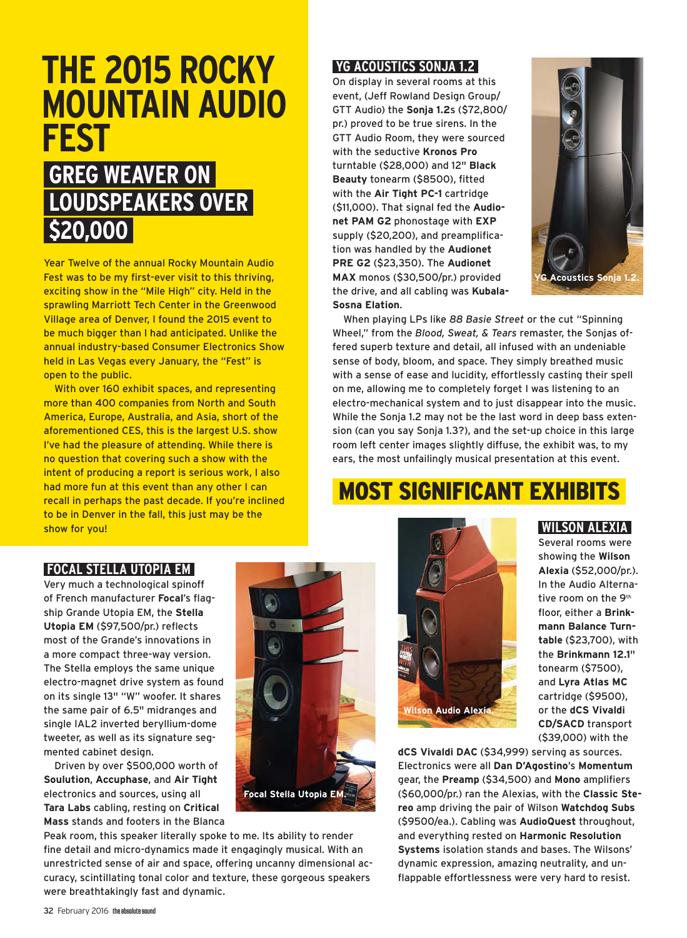# **THE 2015 ROCKY MOUNTAIN AUDIO FEST**

# **GREG WEAVER ON LOUDSPEAKERS OVER \$20,000**

Year Twelve of the annual Rocky Mountain Audio Fest was to be my first-ever visit to this thriving, exciting show in the "Mile High" city. Held in the sprawling Marriott Tech Center in the Greenwood Village area of Denver, I found the 2015 event to be much bigger than I had anticipated. Unlike the annual industry-based Consumer Electronics Show held in Las Vegas every January, the "Fest" is open to the public.

With over 160 exhibit spaces, and representing more than 400 companies from North and South America, Europe, Australia, and Asia, short of the aforementioned CES, this is the largest U.S. show I've had the pleasure of attending. While there is no question that covering such a show with the intent of producing a report is serious work, I also had more fun at this event than any other I can recall in perhaps the past decade. If you're inclined to be in Denver in the fall, this just may be the show for you!

### **YG ACOUSTICS SONJA 1.2**

On display in several rooms at this event, (Jeff Rowland Design Group/ GTT Audio) the **Sonja 1.2**s (\$72,800/ pr.) proved to be true sirens. In the GTT Audio Room, they were sourced with the seductive **Kronos Pro** turntable (\$28,000) and 12" **Black Beauty** tonearm (\$8500), fitted with the **Air Tight PC-1** cartridge (\$11,000). That signal fed the **Audionet PAM G2** phonostage with **EXP** supply (\$20,200), and preamplification was handled by the **Audionet PRE G2** (\$23,350). The **Audionet MAX** monos (\$30,500/pr.) provided the drive, and all cabling was **Kubala-Sosna Elation**.



When playing LPs like *88 Basie Street* or the cut "Spinning Wheel," from the *Blood, Sweat, & Tears* remaster, the Sonjas offered superb texture and detail, all infused with an undeniable sense of body, bloom, and space. They simply breathed music with a sense of ease and lucidity, effortlessly casting their spell on me, allowing me to completely forget I was listening to an electro-mechanical system and to just disappear into the music. While the Sonja 1.2 may not be the last word in deep bass extension (can you say Sonja 1.3?), and the set-up choice in this large room left center images slightly diffuse, the exhibit was, to my ears, the most unfailingly musical presentation at this event.

# MOST SIGNIFICANT EXHIBITS

## **FOCAL STELLA UTOPIA EM**

Very much a technological spinoff of French manufacturer **Focal**'s flagship Grande Utopia EM, the **Stella Utopia EM** (\$97,500/pr.) reflects most of the Grande's innovations in a more compact three-way version. The Stella employs the same unique electro-magnet drive system as found on its single 13" "W" woofer. It shares the same pair of 6.5" midranges and single IAL2 inverted beryllium-dome tweeter, as well as its signature segmented cabinet design.

Driven by over \$500,000 worth of **Soulution**, **Accuphase**, and **Air Tight** electronics and sources, using all **Tara Labs** cabling, resting on **Critical Mass** stands and footers in the Blanca





#### **WILSON ALEXIA**

Several rooms were showing the **Wilson Alexia** (\$52,000/pr.). In the Audio Alternative room on the 9<sup>th</sup> floor, either a **Brinkmann Balance Turntable** (\$23,700), with the **Brinkmann 12.1**" tonearm (\$7500), and **Lyra Atlas MC** cartridge (\$9500), or the **dCS Vivaldi CD/SACD** transport (\$39,000) with the

**dCS Vivaldi DAC** (\$34,999) serving as sources. Electronics were all **Dan D'Agostino**'s **Momentum** gear, the **Preamp** (\$34,500) and **Mono** amplifiers (\$60,000/pr.) ran the Alexias, with the **Classic Stereo** amp driving the pair of Wilson **Watchdog Subs** (\$9500/ea.). Cabling was **AudioQuest** throughout, and everything rested on **Harmonic Resolution Systems** isolation stands and bases. The Wilsons' dynamic expression, amazing neutrality, and unflappable effortlessness were very hard to resist.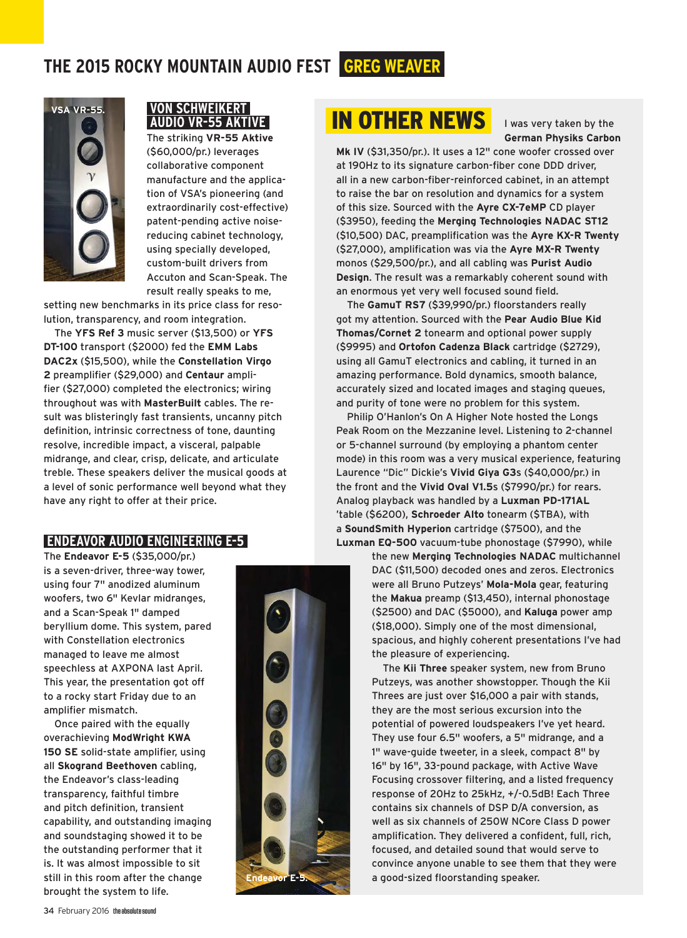

## **VON SCHWEIKERT AUDIO VR-55 AKTIVE**

The striking **VR-55 Aktive** (\$60,000/pr.) leverages collaborative component manufacture and the application of VSA's pioneering (and extraordinarily cost-effective) patent-pending active noisereducing cabinet technology, using specially developed, custom-built drivers from Accuton and Scan-Speak. The result really speaks to me,

setting new benchmarks in its price class for resolution, transparency, and room integration.

The **YFS Ref 3** music server (\$13,500) or **YFS DT-100** transport (\$2000) fed the **EMM Labs DAC2x** (\$15,500), while the **Constellation Virgo 2** preamplifier (\$29,000) and **Centaur** amplifier (\$27,000) completed the electronics; wiring throughout was with **MasterBuilt** cables. The result was blisteringly fast transients, uncanny pitch definition, intrinsic correctness of tone, daunting resolve, incredible impact, a visceral, palpable midrange, and clear, crisp, delicate, and articulate treble. These speakers deliver the musical goods at a level of sonic performance well beyond what they have any right to offer at their price.

## **ENDEAVOR AUDIO ENGINEERING E-5**

The **Endeavor E-5** (\$35,000/pr.) is a seven-driver, three-way tower, using four 7" anodized aluminum woofers, two 6" Kevlar midranges, and a Scan-Speak 1" damped beryllium dome. This system, pared with Constellation electronics managed to leave me almost speechless at AXPONA last April. This year, the presentation got off to a rocky start Friday due to an amplifier mismatch.

Once paired with the equally overachieving **ModWright KWA 150 SE** solid-state amplifier, using all **Skogrand Beethoven** cabling, the Endeavor's class-leading transparency, faithful timbre and pitch definition, transient capability, and outstanding imaging and soundstaging showed it to be the outstanding performer that it is. It was almost impossible to sit still in this room after the change brought the system to life.



# VSA VR-55. **VON SCHWEIKERT MERRIE IN OTHER NEWS**

I was very taken by the **German Physiks Carbon** 

**Mk IV** (\$31,350/pr.). It uses a 12" cone woofer crossed over at 190Hz to its signature carbon-fiber cone DDD driver, all in a new carbon-fiber-reinforced cabinet, in an attempt to raise the bar on resolution and dynamics for a system of this size. Sourced with the **Ayre CX-7eMP** CD player (\$3950), feeding the **Merging Technologies NADAC ST12** (\$10,500) DAC, preamplification was the **Ayre KX-R Twenty** (\$27,000), amplification was via the **Ayre MX-R Twenty** monos (\$29,500/pr.), and all cabling was **Purist Audio Design**. The result was a remarkably coherent sound with an enormous yet very well focused sound field.

The **GamuT RS7** (\$39,990/pr.) floorstanders really got my attention. Sourced with the **Pear Audio Blue Kid Thomas/Cornet 2** tonearm and optional power supply (\$9995) and **Ortofon Cadenza Black** cartridge (\$2729), using all GamuT electronics and cabling, it turned in an amazing performance. Bold dynamics, smooth balance, accurately sized and located images and staging queues, and purity of tone were no problem for this system.

Philip O'Hanlon's On A Higher Note hosted the Longs Peak Room on the Mezzanine level. Listening to 2-channel or 5-channel surround (by employing a phantom center mode) in this room was a very musical experience, featuring Laurence "Dic" Dickie's **Vivid Giya G3**s (\$40,000/pr.) in the front and the **Vivid Oval V1.5**s (\$7990/pr.) for rears. Analog playback was handled by a **Luxman PD-171AL** 'table (\$6200), **Schroeder Alto** tonearm (\$TBA), with a **SoundSmith Hyperion** cartridge (\$7500), and the **Luxman EQ-500** vacuum-tube phonostage (\$7990), while

> the new **Merging Technologies NADAC** multichannel DAC (\$11,500) decoded ones and zeros. Electronics were all Bruno Putzeys' **Mola-Mola** gear, featuring the **Makua** preamp (\$13,450), internal phonostage (\$2500) and DAC (\$5000), and **Kaluga** power amp (\$18,000). Simply one of the most dimensional, spacious, and highly coherent presentations I've had the pleasure of experiencing.

The **Kii Three** speaker system, new from Bruno Putzeys, was another showstopper. Though the Kii Threes are just over \$16,000 a pair with stands, they are the most serious excursion into the potential of powered loudspeakers I've yet heard. They use four 6.5" woofers, a 5" midrange, and a 1" wave-guide tweeter, in a sleek, compact 8" by 16" by 16", 33-pound package, with Active Wave Focusing crossover filtering, and a listed frequency response of 20Hz to 25kHz, +/-0.5dB! Each Three contains six channels of DSP D/A conversion, as well as six channels of 250W NCore Class D power amplification. They delivered a confident, full, rich, focused, and detailed sound that would serve to convince anyone unable to see them that they were a good-sized floorstanding speaker.